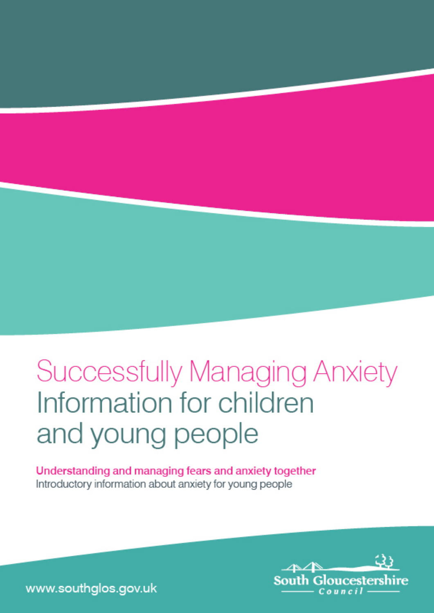# **Successfully Managing Anxiety** Information for children and young people

Understanding and managing fears and anxiety together Introductory information about anxiety for young people



www.southglos.gov.uk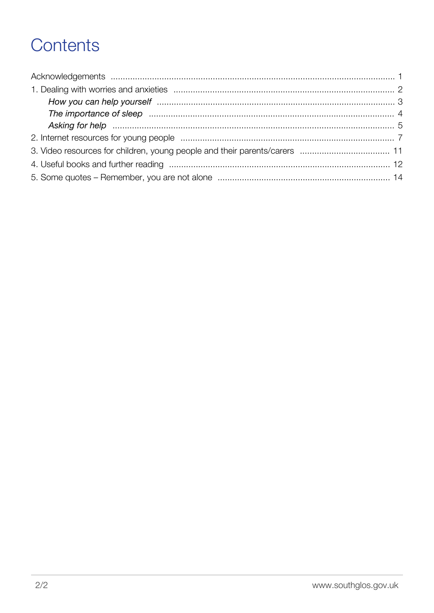# Contents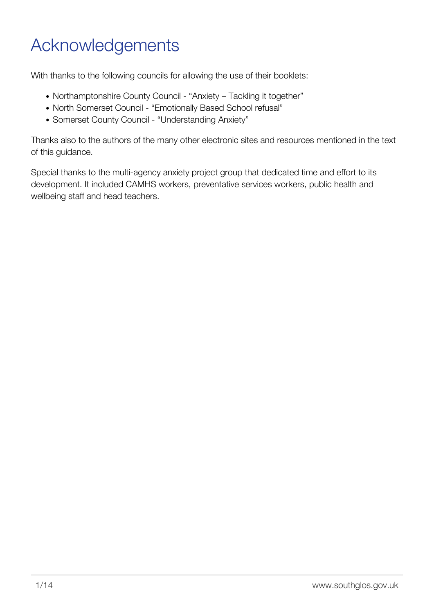# <span id="page-2-0"></span>Acknowledgements

With thanks to the following councils for allowing the use of their booklets:

- Northamptonshire County Council "Anxiety Tackling it together"
- North Somerset Council "Emotionally Based School refusal"
- Somerset County Council "Understanding Anxiety"

Thanks also to the authors of the many other electronic sites and resources mentioned in the text of this guidance.

Special thanks to the multi-agency anxiety project group that dedicated time and effort to its development. It included CAMHS workers, preventative services workers, public health and wellbeing staff and head teachers.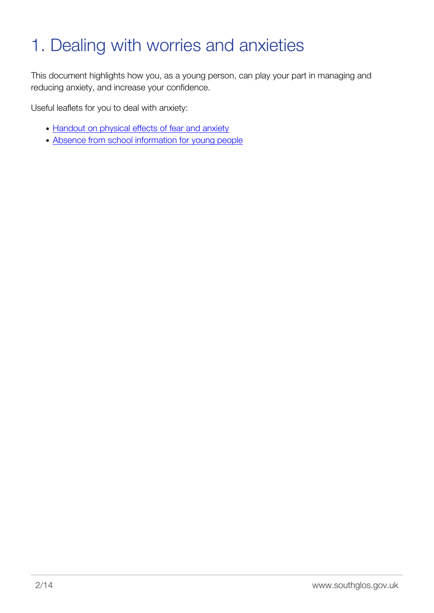# <span id="page-3-0"></span>1. Dealing with worries and anxieties

This document highlights how you, as a young person, can play your part in managing and reducing anxiety, and increase your confidence.

Useful leaflets for you to deal with anxiety:

- [Handout on physical effects of fear and anxiety](http://www.southglos.gov.uk/handout-on-physical-effects-of-fear-and-anxiety/)
- [Absence from school information for young people](http://www.southglos.gov.uk/absence-from-school-information-for-young-people/)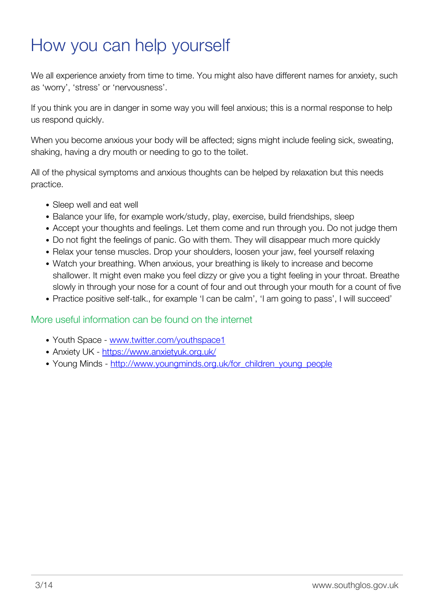## <span id="page-4-0"></span>How you can help yourself

We all experience anxiety from time to time. You might also have different names for anxiety, such as 'worry', 'stress' or 'nervousness'.

If you think you are in danger in some way you will feel anxious; this is a normal response to help us respond quickly.

When you become anxious your body will be affected; signs might include feeling sick, sweating, shaking, having a dry mouth or needing to go to the toilet.

All of the physical symptoms and anxious thoughts can be helped by relaxation but this needs practice.

- Sleep well and eat well
- Balance your life, for example work/study, play, exercise, build friendships, sleep
- Accept your thoughts and feelings. Let them come and run through you. Do not judge them
- Do not fight the feelings of panic. Go with them. They will disappear much more quickly
- Relax your tense muscles. Drop your shoulders, loosen your jaw, feel yourself relaxing
- Watch your breathing. When anxious, your breathing is likely to increase and become shallower. It might even make you feel dizzy or give you a tight feeling in your throat. Breathe slowly in through your nose for a count of four and out through your mouth for a count of five
- Practice positive self-talk., for example 'I can be calm', 'I am going to pass', I will succeed'

#### More useful information can be found on the internet

- Youth Space [www.twitter.com/youthspace1](http://www.twitter.com/youthspace1)
- Anxiety UK -<https://www.anxietyuk.org.uk/>
- Young Minds [http://www.youngminds.org.uk/for\\_children\\_young\\_people](http://www.youngminds.org.uk/for_children_young_people)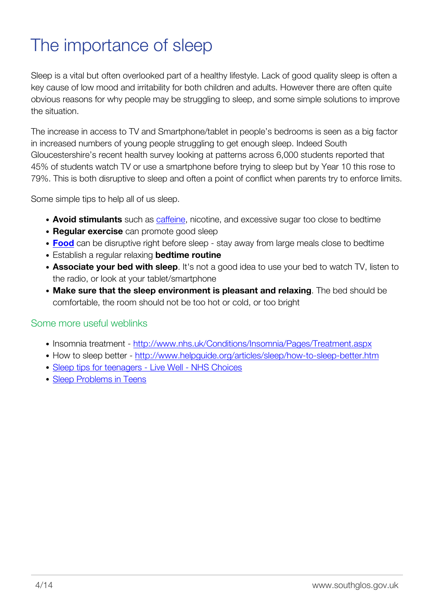# <span id="page-5-0"></span>The importance of sleep

Sleep is a vital but often overlooked part of a healthy lifestyle. Lack of good quality sleep is often a key cause of low mood and irritability for both children and adults. However there are often quite obvious reasons for why people may be struggling to sleep, and some simple solutions to improve the situation.

The increase in access to TV and Smartphone/tablet in people's bedrooms is seen as a big factor in increased numbers of young people struggling to get enough sleep. Indeed South Gloucestershire's recent health survey looking at patterns across 6,000 students reported that 45% of students watch TV or use a smartphone before trying to sleep but by Year 10 this rose to 79%. This is both disruptive to sleep and often a point of conflict when parents try to enforce limits.

Some simple tips to help all of us sleep.

- **Avoid stimulants** such as [caffeine](http://sleepfoundation.org/sleep-topics/caffeine-and-sleep), nicotine, and excessive sugar too close to bedtime
- **Regular exercise** can promote good sleep
- **[Food](http://www.sleepfoundation.org/sleep-news/food-and-sleep)** can be disruptive right before sleep stay away from large meals close to bedtime
- Establish a regular relaxing **bedtime routine**
- **Associate your bed with sleep**. It's not a good idea to use your bed to watch TV, listen to the radio, or look at your tablet/smartphone
- **Make sure that the sleep environment is pleasant and relaxing**. The bed should be comfortable, the room should not be too hot or cold, or too bright

#### Some more useful weblinks

- Insomnia treatment <http://www.nhs.uk/Conditions/Insomnia/Pages/Treatment.aspx>
- How to sleep better -<http://www.helpguide.org/articles/sleep/how-to-sleep-better.htm>
- [Sleep tips for teenagers Live Well NHS Choices](http://www.nhs.uk/Livewell/Childrenssleep/Pages/teensleeptips.aspx)
- [Sleep Problems in Teens](http://kidshealth.org/parent/growth/sleep/sleep_problems.html)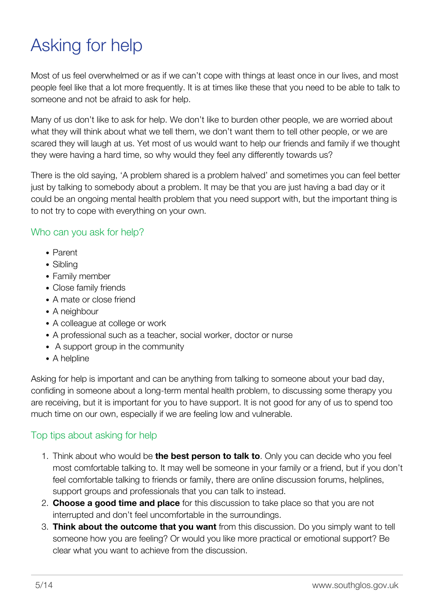# <span id="page-6-0"></span>Asking for help

Most of us feel overwhelmed or as if we can't cope with things at least once in our lives, and most people feel like that a lot more frequently. It is at times like these that you need to be able to talk to someone and not be afraid to ask for help.

Many of us don't like to ask for help. We don't like to burden other people, we are worried about what they will think about what we tell them, we don't want them to tell other people, or we are scared they will laugh at us. Yet most of us would want to help our friends and family if we thought they were having a hard time, so why would they feel any differently towards us?

There is the old saying, 'A problem shared is a problem halved' and sometimes you can feel better just by talking to somebody about a problem. It may be that you are just having a bad day or it could be an ongoing mental health problem that you need support with, but the important thing is to not try to cope with everything on your own.

#### Who can you ask for help?

- Parent
- Sibling
- Family member
- Close family friends
- A mate or close friend
- A neighbour
- A colleague at college or work
- A professional such as a teacher, social worker, doctor or nurse
- A support group in the community
- A helpline

Asking for help is important and can be anything from talking to someone about your bad day, confiding in someone about a long-term mental health problem, to discussing some therapy you are receiving, but it is important for you to have support. It is not good for any of us to spend too much time on our own, especially if we are feeling low and vulnerable.

### Top tips about asking for help

- 1. Think about who would be **the best person to talk to**. Only you can decide who you feel most comfortable talking to. It may well be someone in your family or a friend, but if you don't feel comfortable talking to friends or family, there are online discussion forums, helplines, support groups and professionals that you can talk to instead.
- 2. **Choose a good time and place** for this discussion to take place so that you are not interrupted and don't feel uncomfortable in the surroundings.
- 3. **Think about the outcome that you want** from this discussion. Do you simply want to tell someone how you are feeling? Or would you like more practical or emotional support? Be clear what you want to achieve from the discussion.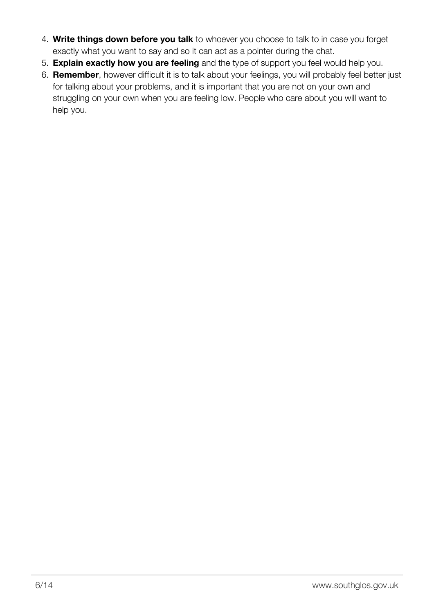- 4. **Write things down before you talk** to whoever you choose to talk to in case you forget exactly what you want to say and so it can act as a pointer during the chat.
- 5. **Explain exactly how you are feeling** and the type of support you feel would help you.
- 6. **Remember**, however difficult it is to talk about your feelings, you will probably feel better just for talking about your problems, and it is important that you are not on your own and struggling on your own when you are feeling low. People who care about you will want to help you.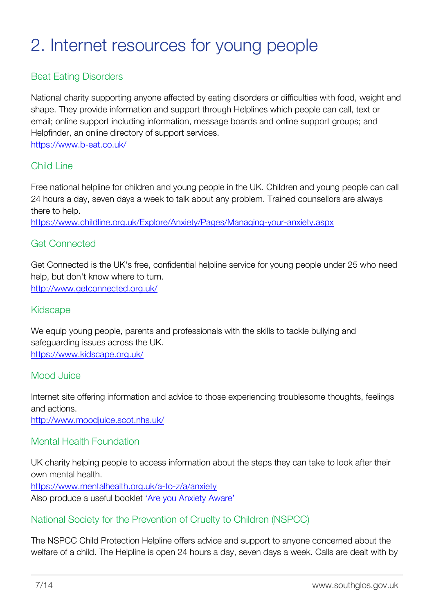# <span id="page-8-0"></span>2. Internet resources for young people

### Beat Eating Disorders

National charity supporting anyone affected by eating disorders or difficulties with food, weight and shape. They provide information and support through Helplines which people can call, text or email; online support including information, message boards and online support groups; and Helpfinder, an online directory of support services.

<https://www.b-eat.co.uk/>

#### Child Line

Free national helpline for children and young people in the UK. Children and young people can call 24 hours a day, seven days a week to talk about any problem. Trained counsellors are always there to help.

<https://www.childline.org.uk/Explore/Anxiety/Pages/Managing-your-anxiety.aspx>

#### Get Connected

Get Connected is the UK's free, confidential helpline service for young people under 25 who need help, but don't know where to turn. <http://www.getconnected.org.uk/>

#### Kidscape

We equip young people, parents and professionals with the skills to tackle bullying and safeguarding issues across the UK. <https://www.kidscape.org.uk/>

#### Mood Juice

Internet site offering information and advice to those experiencing troublesome thoughts, feelings and actions.

<http://www.moodjuice.scot.nhs.uk/>

#### Mental Health Foundation

UK charity helping people to access information about the steps they can take to look after their own mental health.

<https://www.mentalhealth.org.uk/a-to-z/a/anxiety> Also produce a useful booklet ['Are you Anxiety Aware'](https://www.mentalhealth.org.uk/publications/are-you-anxiety-aware-booklet/)

#### National Society for the Prevention of Cruelty to Children (NSPCC)

The NSPCC Child Protection Helpline offers advice and support to anyone concerned about the welfare of a child. The Helpline is open 24 hours a day, seven days a week. Calls are dealt with by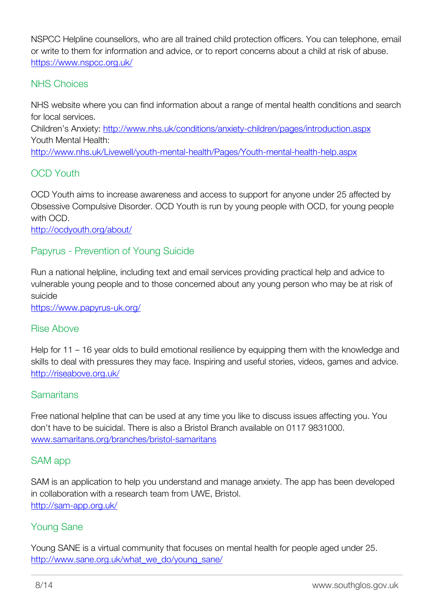NSPCC Helpline counsellors, who are all trained child protection officers. You can telephone, email or write to them for information and advice, or to report concerns about a child at risk of abuse. <https://www.nspcc.org.uk/>

### NHS Choices

NHS website where you can find information about a range of mental health conditions and search for local services.

Children's Anxiety: <http://www.nhs.uk/conditions/anxiety-children/pages/introduction.aspx> Youth Mental Health:

<http://www.nhs.uk/Livewell/youth-mental-health/Pages/Youth-mental-health-help.aspx>

### OCD Youth

OCD Youth aims to increase awareness and access to support for anyone under 25 affected by Obsessive Compulsive Disorder. OCD Youth is run by young people with OCD, for young people with OCD.

<http://ocdyouth.org/about/>

### Papyrus - Prevention of Young Suicide

Run a national helpline, including text and email services providing practical help and advice to vulnerable young people and to those concerned about any young person who may be at risk of suicide

<https://www.papyrus-uk.org/>

#### Rise Above

Help for 11 – 16 year olds to build emotional resilience by equipping them with the knowledge and skills to deal with pressures they may face. Inspiring and useful stories, videos, games and advice. <http://riseabove.org.uk/>

#### **Samaritans**

Free national helpline that can be used at any time you like to discuss issues affecting you. You don't have to be suicidal. There is also a Bristol Branch available on 0117 9831000. [www.samaritans.org/branches/bristol-samaritans](htpp://www.samaritans.org/branches/bristol-samaritans)

#### SAM app

SAM is an application to help you understand and manage anxiety. The app has been developed in collaboration with a research team from UWE, Bristol. <http://sam-app.org.uk/>

#### Young Sane

Young SANE is a virtual community that focuses on mental health for people aged under 25. [http://www.sane.org.uk/what\\_we\\_do/young\\_sane/](http://www.sane.org.uk/what_we_do/young_sane/)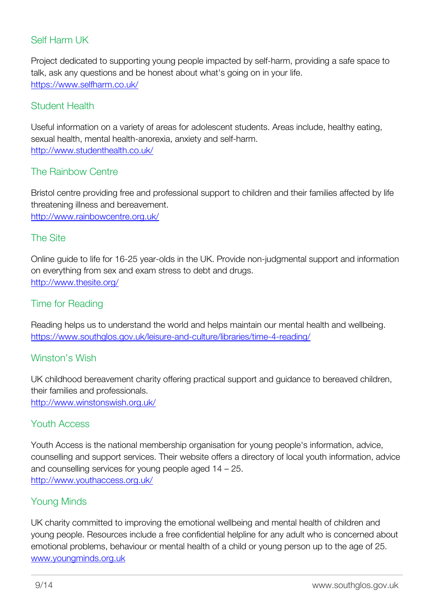### Self Harm UK

Project dedicated to supporting young people impacted by self-harm, providing a safe space to talk, ask any questions and be honest about what's going on in your life. <https://www.selfharm.co.uk/>

#### Student Health

Useful information on a variety of areas for adolescent students. Areas include, healthy eating, sexual health, mental health-anorexia, anxiety and self-harm. <http://www.studenthealth.co.uk/>

#### The Rainbow Centre

Bristol centre providing free and professional support to children and their families affected by life threatening illness and bereavement. <http://www.rainbowcentre.org.uk/>

#### The Site

Online guide to life for 16-25 year-olds in the UK. Provide non-judgmental support and information on everything from sex and exam stress to debt and drugs. <http://www.thesite.org/>

#### Time for Reading

Reading helps us to understand the world and helps maintain our mental health and wellbeing. <https://www.southglos.gov.uk/leisure-and-culture/libraries/time-4-reading/>

#### Winston's Wish

UK childhood bereavement charity offering practical support and guidance to bereaved children, their families and professionals. <http://www.winstonswish.org.uk/>

#### Youth Access

Youth Access is the national membership organisation for young people's information, advice, counselling and support services. Their website offers a directory of local youth information, advice and counselling services for young people aged 14 – 25. <http://www.youthaccess.org.uk/>

#### Young Minds

UK charity committed to improving the emotional wellbeing and mental health of children and young people. Resources include a free confidential helpline for any adult who is concerned about emotional problems, behaviour or mental health of a child or young person up to the age of 25. [www.youngminds.org.uk](http://www.youngminds.org.uk)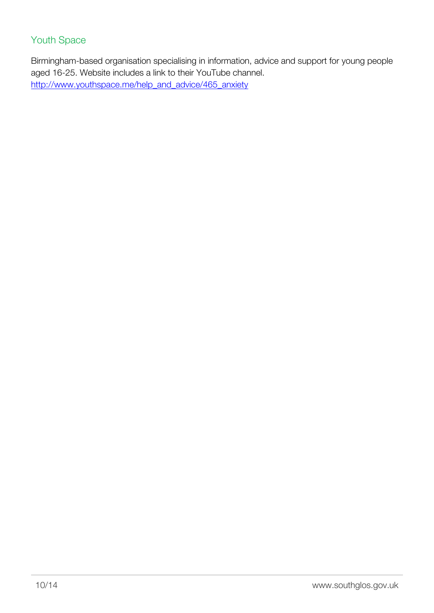### Youth Space

Birmingham-based organisation specialising in information, advice and support for young people aged 16-25. Website includes a link to their YouTube channel. [http://www.youthspace.me/help\\_and\\_advice/465\\_anxiety](http://www.youthspace.me/help_and_advice/465_anxiety)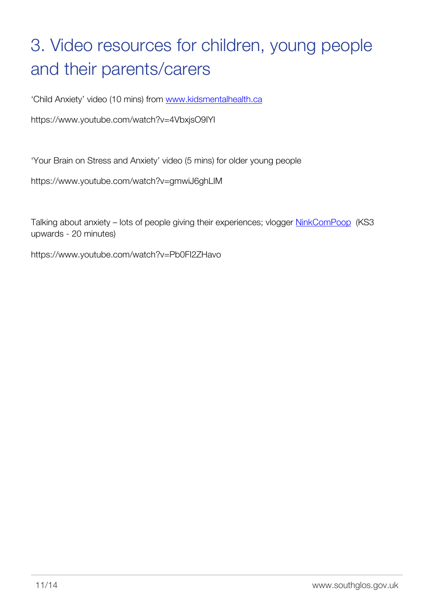# <span id="page-12-0"></span>3. Video resources for children, young people and their parents/carers

'Child Anxiety' video (10 mins) from [www.kidsmentalhealth.ca](http://www.kidsmentalhealth.ca)

https://www.youtube.com/watch?v=4VbxjsO9IYI

'Your Brain on Stress and Anxiety' video (5 mins) for older young people

https://www.youtube.com/watch?v=gmwiJ6ghLIM

Talking about anxiety - lots of people giving their experiences; vlogger **NinkComPoop** (KS3 upwards - 20 minutes)

https://www.youtube.com/watch?v=Pb0FI2ZHavo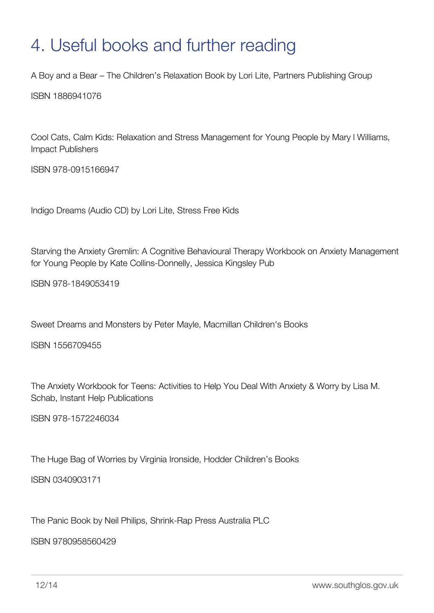## <span id="page-13-0"></span>4. Useful books and further reading

A Boy and a Bear – The Children's Relaxation Book by Lori Lite, Partners Publishing Group

ISBN 1886941076

Cool Cats, Calm Kids: Relaxation and Stress Management for Young People by Mary l Williams, Impact Publishers

ISBN 978-0915166947

Indigo Dreams (Audio CD) by Lori Lite, Stress Free Kids

Starving the Anxiety Gremlin: A Cognitive Behavioural Therapy Workbook on Anxiety Management for Young People by Kate Collins-Donnelly, Jessica Kingsley Pub

ISBN 978-1849053419

Sweet Dreams and Monsters by Peter Mayle, Macmillan Children's Books

ISBN 1556709455

The Anxiety Workbook for Teens: Activities to Help You Deal With Anxiety & Worry by Lisa M. Schab, Instant Help Publications

ISBN 978-1572246034

The Huge Bag of Worries by Virginia Ironside, Hodder Children's Books

ISBN 0340903171

The Panic Book by Neil Philips, Shrink-Rap Press Australia PLC

ISBN 9780958560429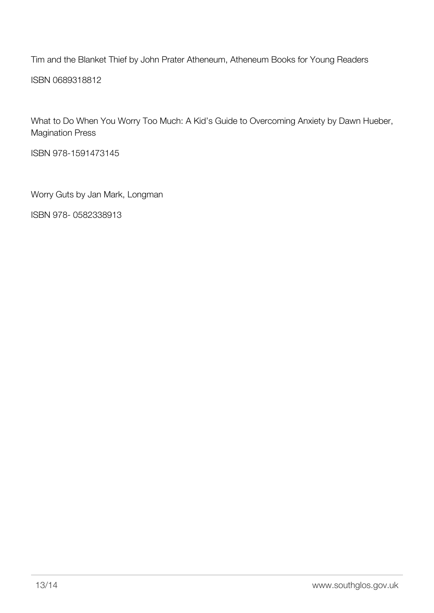Tim and the Blanket Thief by John Prater Atheneum, Atheneum Books for Young Readers ISBN 0689318812

What to Do When You Worry Too Much: A Kid's Guide to Overcoming Anxiety by Dawn Hueber, Magination Press

ISBN 978-1591473145

Worry Guts by Jan Mark, Longman

ISBN 978- 0582338913